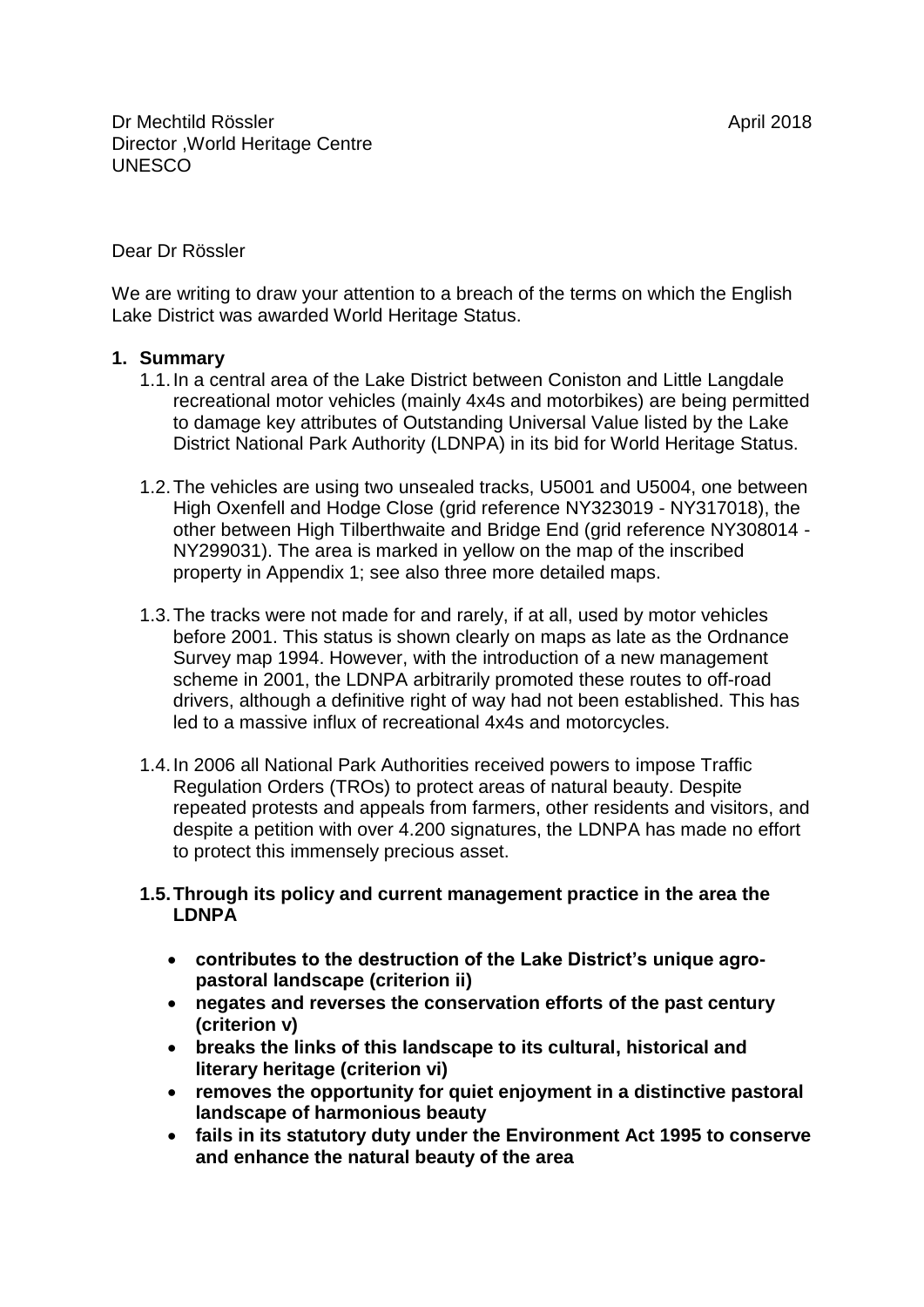#### Dear Dr Rössler

We are writing to draw your attention to a breach of the terms on which the English Lake District was awarded World Heritage Status.

#### **1. Summary**

- 1.1.In a central area of the Lake District between Coniston and Little Langdale recreational motor vehicles (mainly 4x4s and motorbikes) are being permitted to damage key attributes of Outstanding Universal Value listed by the Lake District National Park Authority (LDNPA) in its bid for World Heritage Status.
- 1.2.The vehicles are using two unsealed tracks, U5001 and U5004, one between High Oxenfell and Hodge Close (grid reference NY323019 - NY317018), the other between High Tilberthwaite and Bridge End (grid reference NY308014 - NY299031). The area is marked in yellow on the map of the inscribed property in Appendix 1; see also three more detailed maps.
- 1.3.The tracks were not made for and rarely, if at all, used by motor vehicles before 2001. This status is shown clearly on maps as late as the Ordnance Survey map 1994. However, with the introduction of a new management scheme in 2001, the LDNPA arbitrarily promoted these routes to off-road drivers, although a definitive right of way had not been established. This has led to a massive influx of recreational 4x4s and motorcycles.
- 1.4.In 2006 all National Park Authorities received powers to impose Traffic Regulation Orders (TROs) to protect areas of natural beauty. Despite repeated protests and appeals from farmers, other residents and visitors, and despite a petition with over 4.200 signatures, the LDNPA has made no effort to protect this immensely precious asset.
- **1.5.Through its policy and current management practice in the area the LDNPA** 
	- **contributes to the destruction of the Lake District's unique agropastoral landscape (criterion ii)**
	- **negates and reverses the conservation efforts of the past century (criterion v)**
	- **breaks the links of this landscape to its cultural, historical and literary heritage (criterion vi)**
	- **removes the opportunity for quiet enjoyment in a distinctive pastoral landscape of harmonious beauty**
	- **fails in its statutory duty under the Environment Act 1995 to conserve and enhance the natural beauty of the area**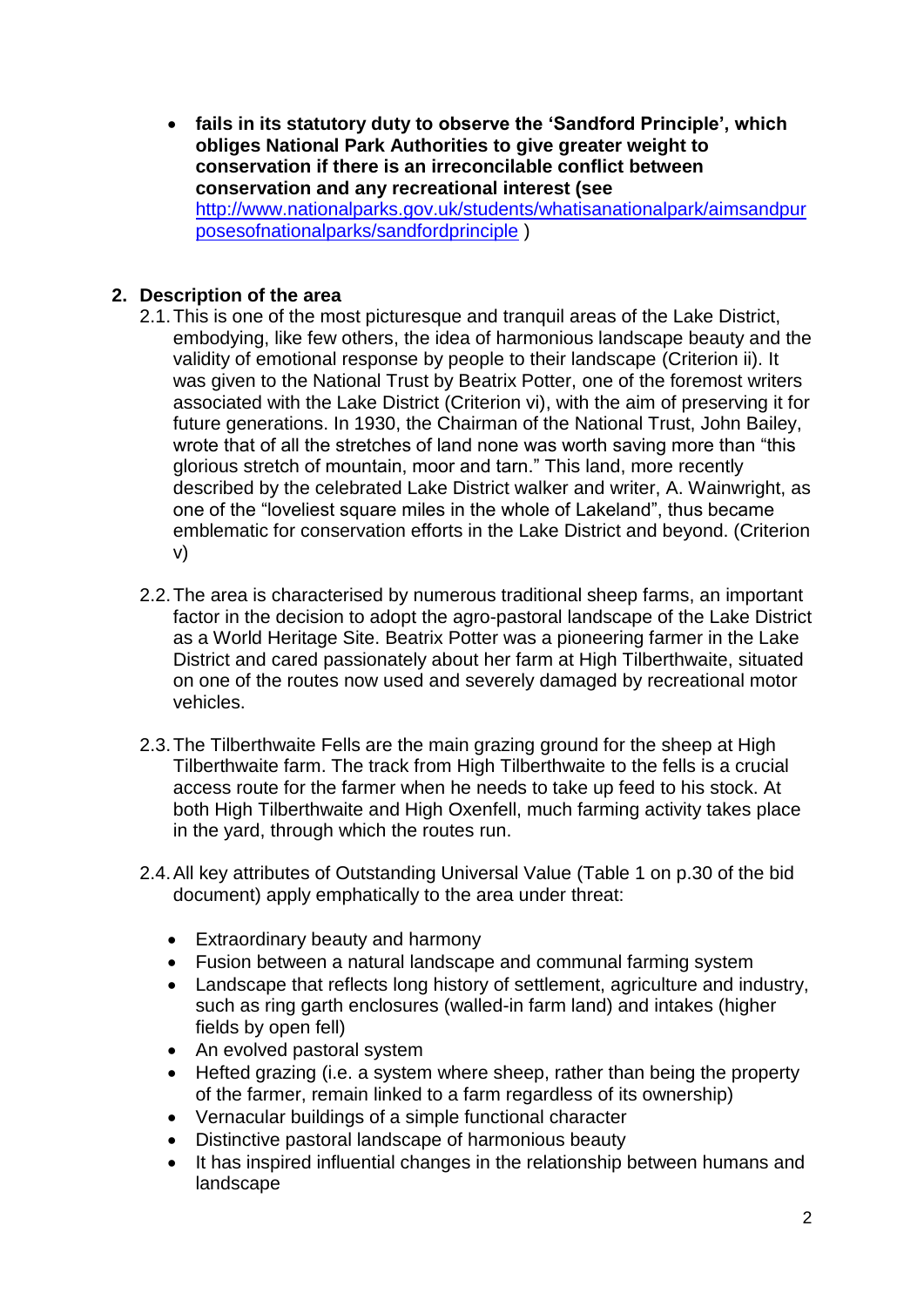**fails in its statutory duty to observe the 'Sandford Principle', which obliges National Park Authorities to give greater weight to conservation if there is an irreconcilable conflict between conservation and any recreational interest (see**  [http://www.nationalparks.gov.uk/students/whatisanationalpark/aimsandpur](http://www.nationalparks.gov.uk/students/whatisanationalpark/aimsandpurposesofnationalparks/sandfordprinciple) [posesofnationalparks/sandfordprinciple](http://www.nationalparks.gov.uk/students/whatisanationalpark/aimsandpurposesofnationalparks/sandfordprinciple) )

# **2. Description of the area**

- 2.1.This is one of the most picturesque and tranquil areas of the Lake District, embodying, like few others, the idea of harmonious landscape beauty and the validity of emotional response by people to their landscape (Criterion ii). It was given to the National Trust by Beatrix Potter, one of the foremost writers associated with the Lake District (Criterion vi), with the aim of preserving it for future generations. In 1930, the Chairman of the National Trust, John Bailey, wrote that of all the stretches of land none was worth saving more than "this glorious stretch of mountain, moor and tarn." This land, more recently described by the celebrated Lake District walker and writer, A. Wainwright, as one of the "loveliest square miles in the whole of Lakeland", thus became emblematic for conservation efforts in the Lake District and beyond. (Criterion v)
- 2.2.The area is characterised by numerous traditional sheep farms, an important factor in the decision to adopt the agro-pastoral landscape of the Lake District as a World Heritage Site. Beatrix Potter was a pioneering farmer in the Lake District and cared passionately about her farm at High Tilberthwaite, situated on one of the routes now used and severely damaged by recreational motor vehicles.
- 2.3.The Tilberthwaite Fells are the main grazing ground for the sheep at High Tilberthwaite farm. The track from High Tilberthwaite to the fells is a crucial access route for the farmer when he needs to take up feed to his stock. At both High Tilberthwaite and High Oxenfell, much farming activity takes place in the yard, through which the routes run.
- 2.4.All key attributes of Outstanding Universal Value (Table 1 on p.30 of the bid document) apply emphatically to the area under threat:
	- Extraordinary beauty and harmony
	- Fusion between a natural landscape and communal farming system
	- Landscape that reflects long history of settlement, agriculture and industry, such as ring garth enclosures (walled-in farm land) and intakes (higher fields by open fell)
	- An evolved pastoral system
	- Hefted grazing (i.e. a system where sheep, rather than being the property of the farmer, remain linked to a farm regardless of its ownership)
	- Vernacular buildings of a simple functional character
	- Distinctive pastoral landscape of harmonious beauty
	- It has inspired influential changes in the relationship between humans and landscape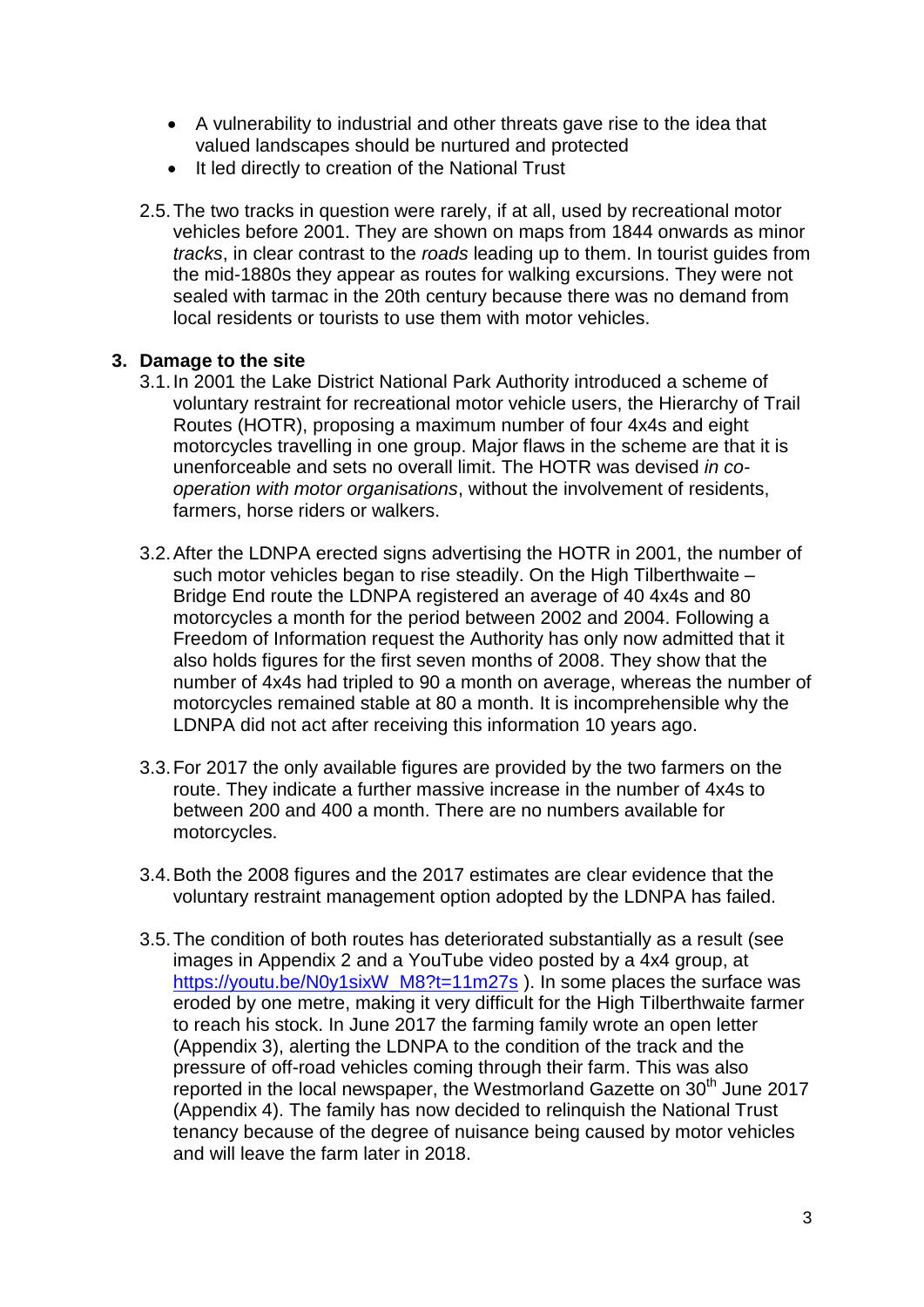- A vulnerability to industrial and other threats gave rise to the idea that valued landscapes should be nurtured and protected
- It led directly to creation of the National Trust
- 2.5.The two tracks in question were rarely, if at all, used by recreational motor vehicles before 2001. They are shown on maps from 1844 onwards as minor *tracks*, in clear contrast to the *roads* leading up to them. In tourist guides from the mid-1880s they appear as routes for walking excursions. They were not sealed with tarmac in the 20th century because there was no demand from local residents or tourists to use them with motor vehicles.

#### **3. Damage to the site**

- 3.1.In 2001 the Lake District National Park Authority introduced a scheme of voluntary restraint for recreational motor vehicle users, the Hierarchy of Trail Routes (HOTR), proposing a maximum number of four 4x4s and eight motorcycles travelling in one group. Major flaws in the scheme are that it is unenforceable and sets no overall limit. The HOTR was devised *in cooperation with motor organisations*, without the involvement of residents, farmers, horse riders or walkers.
- 3.2.After the LDNPA erected signs advertising the HOTR in 2001, the number of such motor vehicles began to rise steadily. On the High Tilberthwaite -Bridge End route the LDNPA registered an average of 40 4x4s and 80 motorcycles a month for the period between 2002 and 2004. Following a Freedom of Information request the Authority has only now admitted that it also holds figures for the first seven months of 2008. They show that the number of 4x4s had tripled to 90 a month on average, whereas the number of motorcycles remained stable at 80 a month. It is incomprehensible why the LDNPA did not act after receiving this information 10 years ago.
- 3.3.For 2017 the only available figures are provided by the two farmers on the route. They indicate a further massive increase in the number of 4x4s to between 200 and 400 a month. There are no numbers available for motorcycles.
- 3.4.Both the 2008 figures and the 2017 estimates are clear evidence that the voluntary restraint management option adopted by the LDNPA has failed.
- 3.5.The condition of both routes has deteriorated substantially as a result (see images in Appendix 2 and a YouTube video posted by a 4x4 group, at [https://youtu.be/N0y1sixW\\_M8?t=11m27s](https://youtu.be/N0y1sixW_M8?t=11m27s) ). In some places the surface was eroded by one metre, making it very difficult for the High Tilberthwaite farmer to reach his stock. In June 2017 the farming family wrote an open letter (Appendix 3), alerting the LDNPA to the condition of the track and the pressure of off-road vehicles coming through their farm. This was also reported in the local newspaper, the Westmorland Gazette on 30<sup>th</sup> June 2017 (Appendix 4). The family has now decided to relinquish the National Trust tenancy because of the degree of nuisance being caused by motor vehicles and will leave the farm later in 2018.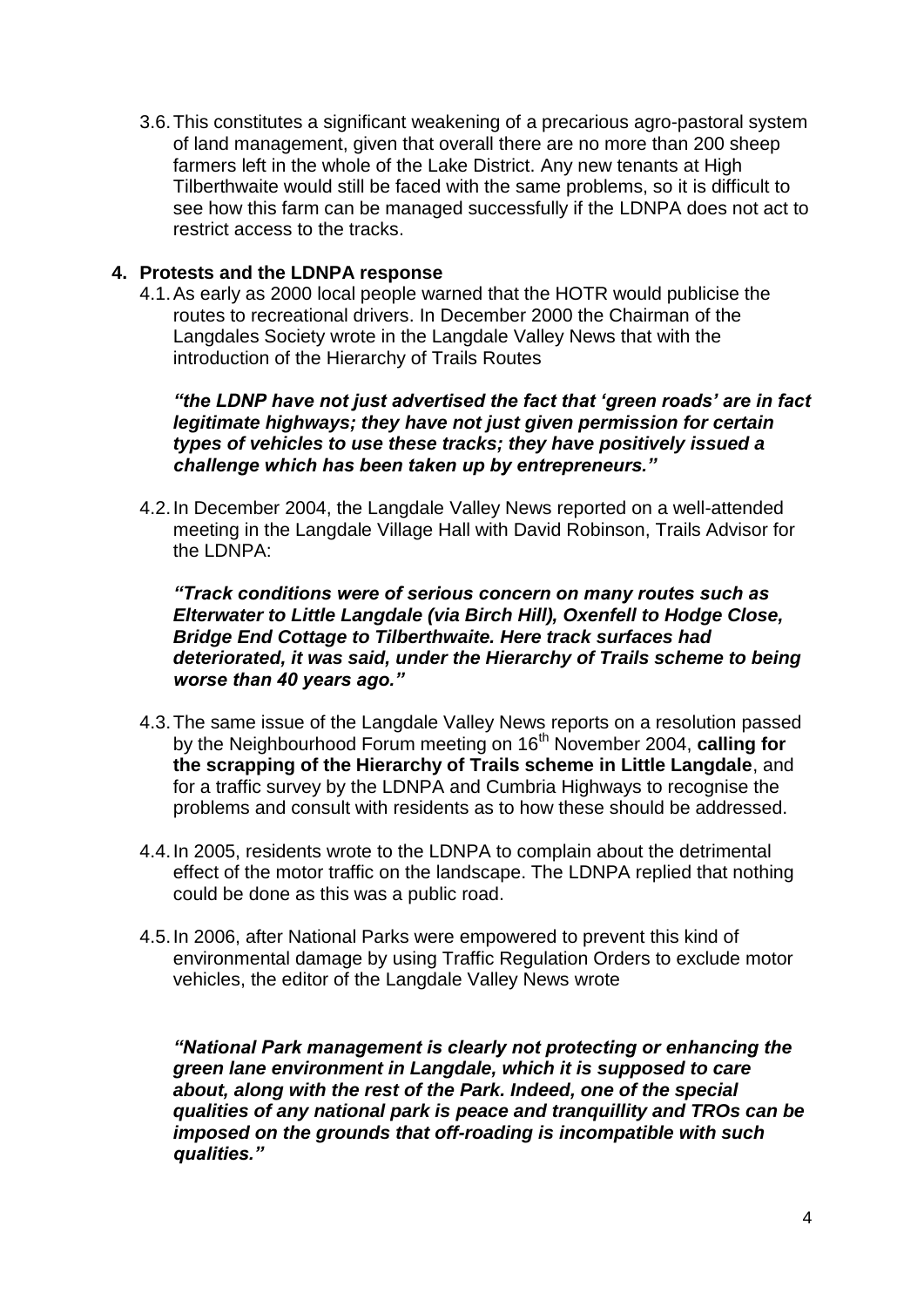3.6.This constitutes a significant weakening of a precarious agro-pastoral system of land management, given that overall there are no more than 200 sheep farmers left in the whole of the Lake District. Any new tenants at High Tilberthwaite would still be faced with the same problems, so it is difficult to see how this farm can be managed successfully if the LDNPA does not act to restrict access to the tracks.

### **4. Protests and the LDNPA response**

4.1.As early as 2000 local people warned that the HOTR would publicise the routes to recreational drivers. In December 2000 the Chairman of the Langdales Society wrote in the Langdale Valley News that with the introduction of the Hierarchy of Trails Routes

*"the LDNP have not just advertised the fact that 'green roads' are in fact legitimate highways; they have not just given permission for certain types of vehicles to use these tracks; they have positively issued a challenge which has been taken up by entrepreneurs."*

4.2.In December 2004, the Langdale Valley News reported on a well-attended meeting in the Langdale Village Hall with David Robinson, Trails Advisor for the LDNPA:

*"Track conditions were of serious concern on many routes such as Elterwater to Little Langdale (via Birch Hill), Oxenfell to Hodge Close, Bridge End Cottage to Tilberthwaite. Here track surfaces had deteriorated, it was said, under the Hierarchy of Trails scheme to being worse than 40 years ago."*

- 4.3.The same issue of the Langdale Valley News reports on a resolution passed by the Neighbourhood Forum meeting on 16<sup>th</sup> November 2004, calling for **the scrapping of the Hierarchy of Trails scheme in Little Langdale**, and for a traffic survey by the LDNPA and Cumbria Highways to recognise the problems and consult with residents as to how these should be addressed.
- 4.4.In 2005, residents wrote to the LDNPA to complain about the detrimental effect of the motor traffic on the landscape. The LDNPA replied that nothing could be done as this was a public road.
- 4.5.In 2006, after National Parks were empowered to prevent this kind of environmental damage by using Traffic Regulation Orders to exclude motor vehicles, the editor of the Langdale Valley News wrote

*"National Park management is clearly not protecting or enhancing the green lane environment in Langdale, which it is supposed to care about, along with the rest of the Park. Indeed, one of the special qualities of any national park is peace and tranquillity and TROs can be imposed on the grounds that off-roading is incompatible with such qualities."*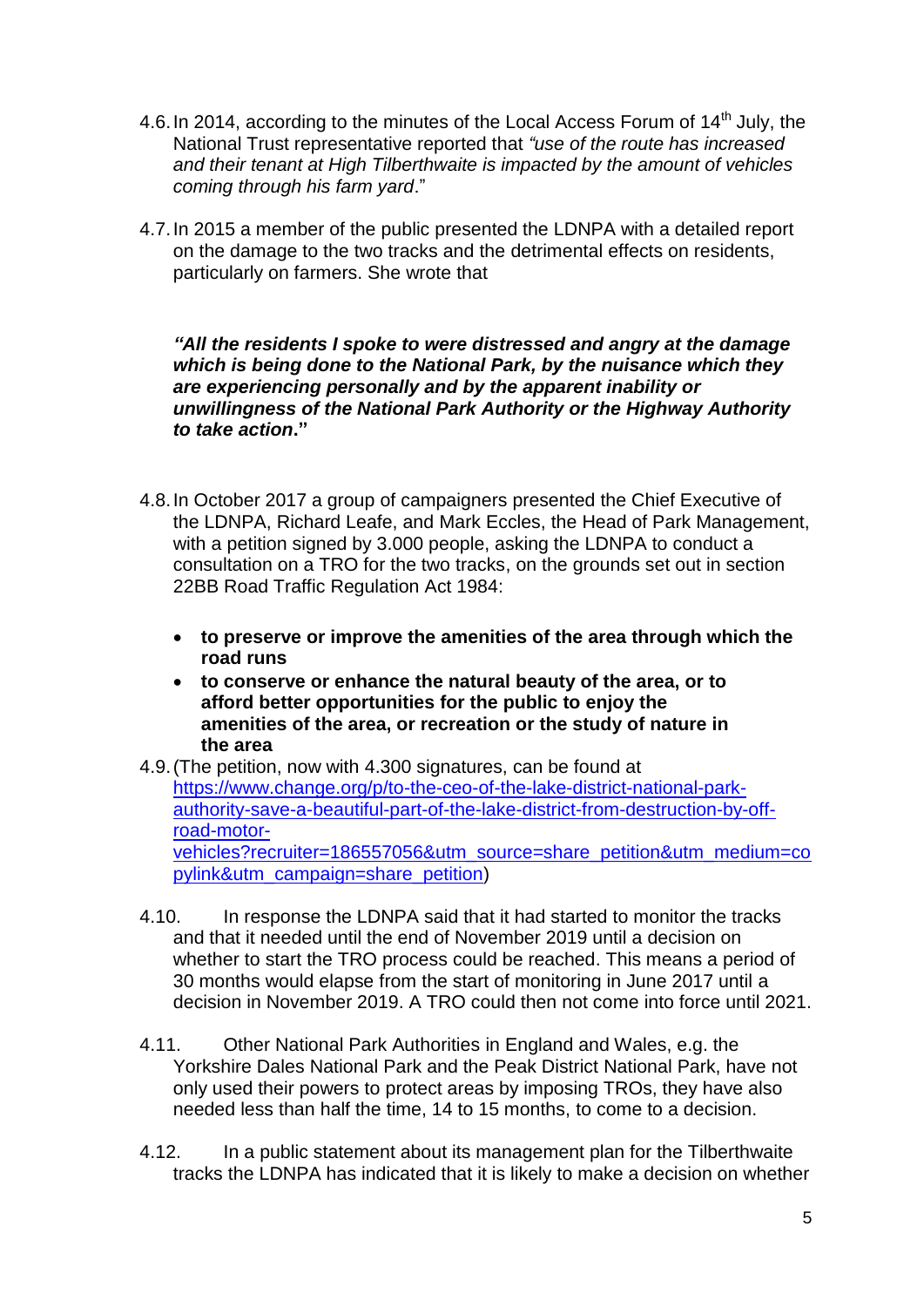- 4.6. In 2014, according to the minutes of the Local Access Forum of 14<sup>th</sup> July, the National Trust representative reported that *"use of the route has increased and their tenant at High Tilberthwaite is impacted by the amount of vehicles coming through his farm yard*."
- 4.7.In 2015 a member of the public presented the LDNPA with a detailed report on the damage to the two tracks and the detrimental effects on residents, particularly on farmers. She wrote that

*"All the residents I spoke to were distressed and angry at the damage which is being done to the National Park, by the nuisance which they are experiencing personally and by the apparent inability or unwillingness of the National Park Authority or the Highway Authority to take action***."**

- 4.8.In October 2017 a group of campaigners presented the Chief Executive of the LDNPA, Richard Leafe, and Mark Eccles, the Head of Park Management, with a petition signed by 3.000 people, asking the LDNPA to conduct a consultation on a TRO for the two tracks, on the grounds set out in section 22BB Road Traffic Regulation Act 1984:
	- **to preserve or improve the amenities of the area through which the road runs**
	- **to conserve or enhance the natural beauty of the area, or to afford better opportunities for the public to enjoy the amenities of the area, or recreation or the study of nature in the area**
- 4.9.(The petition, now with 4.300 signatures, can be found at [https://www.change.org/p/to-the-ceo-of-the-lake-district-national-park](https://www.change.org/p/to-the-ceo-of-the-lake-district-national-park-authority-save-a-beautiful-part-of-the-lake-district-from-destruction-by-off-road-motor-vehicles?recruiter=186557056&utm_source=share_petition&utm_medium=copylink&utm_campaign=share_petition)[authority-save-a-beautiful-part-of-the-lake-district-from-destruction-by-off](https://www.change.org/p/to-the-ceo-of-the-lake-district-national-park-authority-save-a-beautiful-part-of-the-lake-district-from-destruction-by-off-road-motor-vehicles?recruiter=186557056&utm_source=share_petition&utm_medium=copylink&utm_campaign=share_petition)[road-motor](https://www.change.org/p/to-the-ceo-of-the-lake-district-national-park-authority-save-a-beautiful-part-of-the-lake-district-from-destruction-by-off-road-motor-vehicles?recruiter=186557056&utm_source=share_petition&utm_medium=copylink&utm_campaign=share_petition)[vehicles?recruiter=186557056&utm\\_source=share\\_petition&utm\\_medium=co](https://www.change.org/p/to-the-ceo-of-the-lake-district-national-park-authority-save-a-beautiful-part-of-the-lake-district-from-destruction-by-off-road-motor-vehicles?recruiter=186557056&utm_source=share_petition&utm_medium=copylink&utm_campaign=share_petition) [pylink&utm\\_campaign=share\\_petition\)](https://www.change.org/p/to-the-ceo-of-the-lake-district-national-park-authority-save-a-beautiful-part-of-the-lake-district-from-destruction-by-off-road-motor-vehicles?recruiter=186557056&utm_source=share_petition&utm_medium=copylink&utm_campaign=share_petition)
- 4.10. In response the LDNPA said that it had started to monitor the tracks and that it needed until the end of November 2019 until a decision on whether to start the TRO process could be reached. This means a period of 30 months would elapse from the start of monitoring in June 2017 until a decision in November 2019. A TRO could then not come into force until 2021.
- 4.11. Other National Park Authorities in England and Wales, e.g. the Yorkshire Dales National Park and the Peak District National Park, have not only used their powers to protect areas by imposing TROs, they have also needed less than half the time, 14 to 15 months, to come to a decision.
- 4.12. In a public statement about its management plan for the Tilberthwaite tracks the LDNPA has indicated that it is likely to make a decision on whether